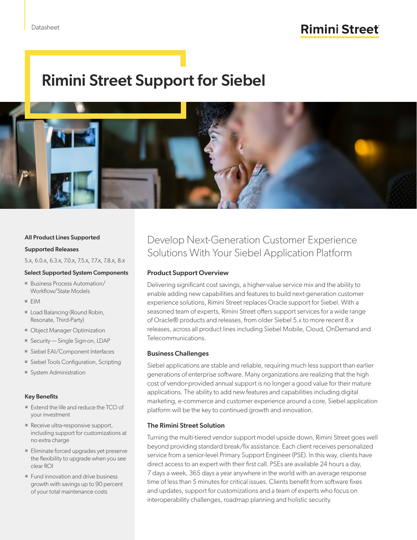# Rimini Street Support for Siebel



#### All Product Lines Supported

#### Supported Releases

5.x, 6.0.x, 6.3.x, 7.0.x, 7.5.x, 7.7.x, 7.8.x, 8.x

#### Select Supported System Components

- Business Process Automation/ Workflow/State Models
- $EIM$
- **Load Balancing (Round Robin,** Resonate, Third-Party)
- **Diect Manager Optimization**
- Security Single Sign-on, LDAP
- Siebel EAI/Component Interfaces
- **Siebel Tools Configuration, Scripting**
- System Administration

#### Key Benefits

- Extend the life and reduce the TCO of your investment
- Receive ultra-responsive support, including support for customizations at no extra charge
- Eliminate forced upgrades yet preserve the flexibility to upgrade when you see clear ROI
- **Fund innovation and drive business** growth with savings up to 90 percent of your total maintenance costs

### Develop Next-Generation Customer Experience Solutions With Your Siebel Application Platform

#### Product Support Overview

Delivering significant cost savings, a higher-value service mix and the ability to enable adding new capabilities and features to build next-generation customer experience solutions, Rimini Street replaces Oracle support for Siebel. With a seasoned team of experts, Rimini Street offers support services for a wide range of Oracle® products and releases, from older Siebel 5.x to more recent 8.x releases, across all product lines including Siebel Mobile, Cloud, OnDemand and Telecommunications.

#### Business Challenges

Siebel applications are stable and reliable, requiring much less support than earlier generations of enterprise software. Many organizations are realizing that the high cost of vendor-provided annual support is no longer a good value for their mature applications. The ability to add new features and capabilities including digital marketing, e-commerce and customer experience around a core, Siebel application platform will be the key to continued growth and innovation.

#### The Rimini Street Solution

Turning the multi-tiered vendor support model upside down, Rimini Street goes well beyond providing standard break/fix assistance. Each client receives personalized service from a senior-level Primary Support Engineer (PSE). In this way, clients have direct access to an expert with their first call. PSEs are available 24 hours a day, 7 days a week, 365 days a year anywhere in the world with an average response time of less than 5 minutes for critical issues. Clients benefit from software fixes and updates, support for customizations and a team of experts who focus on interoperability challenges, roadmap planning and holistic security.